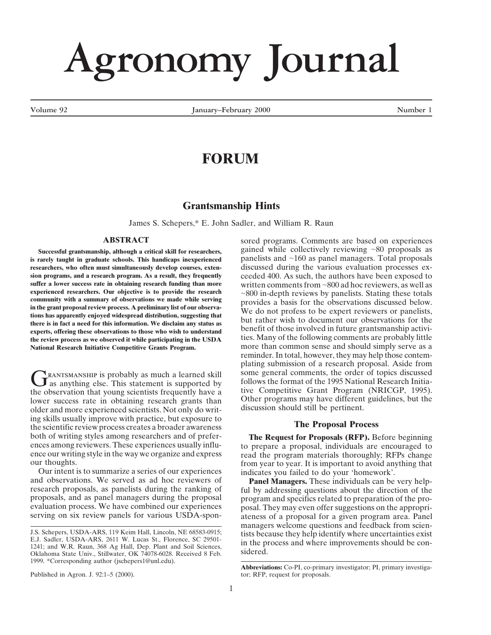# **Agronomy Journal**

Volume 92 **January–February 2000** Mumber 1

# **FORUM**

## **Grantsmanship Hints**

James S. Schepers,\* E. John Sadler, and William R. Raun

### **ABSTRACT** sored programs. Comments are based on experiences

**Successful grantsmanship, although a critical skill for researchers,** gained while collectively reviewing ~80 proposals as parely taught in graduate schools. This handicaps inexperienced panelists and ~160 as panel manage is rarely taught in graduate schools. This handicaps inexperienced **researchers, who often must simultaneously develop courses, exten-** discussed during the various evaluation processes ex-<br>sion programs, and a research program. As a result, they frequently ceeded 400. As such, the author **sion programs, and a research program. As a result, they frequently** ceeded 400. As such, the authors have been exposed to suffer a lower success rate in obtaining research funding than more written comments from ~800 ad **suffer a lower success rate in obtaining research funding than more** written comments from ~800 ad hoc reviewers, as well as experienced researchers. Our objective is to provide the research  $\sim$ 800 in-denth reviews by pa **the review process as we observations to those who wish to understand** the use involved in future grantsmanism pactivities. Many of the following comments are probably little existing in the USDA **National Research Initiative Competitive Grants Program.** more than common sense and should simply serve as a

older and more experienced scientists. Not only do writing skills usually improve with practice, but exposure to the scientific review process creates a broader awareness **The Proposal Process** both of writing styles among researchers and of prefer- **The Request for Proposals (RFP).** Before beginning ences among reviewers. These experiences usually influ-<br>ence our writing style in the way we organize and express<br>read the program materials thoroughly: RFPs change ence our writing style in the way we organize and express read the program materials thoroughly; RFPs change<br>from year to year. It is important to avoid anything that

Our intent is to summarize a series of our experiences indicates you failed to do your 'homework'.<br>and observations. We served as ad hoc reviewers of **Panel Managers.** These individuals can be and observations. We served as ad hoc reviewers of **Panel Managers.** These individuals can be very help-<br>research proposals, as panelists during the ranking of ful by addressing questions about the direction of the research proposals, as panelists during the ranking of ful by addressing questions about the direction of the proposals, and as panel managers during the proposal program and specifics related to preparation of the proevaluation process. We have combined our experiences posal. They may even offer suggestions on the appropri-<br>serving on six review panels for various USDA-spon-<br>ateness of a proposal for a given program area. Panel

experienced researchers. Our objective is to provide the research<br>community with a summary of observations we made while serving<br>in the grant proposal review process. A preliminary list of our observa-<br>tions has apparently reminder. In total, however, they may help those contemplating submission of a research proposal. Aside from **C**RANTSMANSHIP is probably as much a learned skill<br>
as anything else. This statement is supported by<br>
the observation that young scientists frequently have a<br>
lower success rate in obtaining research grants than<br>
other pr

from year to year. It is important to avoid anything that

program and specifics related to preparation of the proateness of a proposal for a given program area. Panel Managers welcome questions and feedback from scien-<br>
J.S. Schepers, USDA-ARS, 119 Keim Hall, Lincoln, NE 68583-0915;<br>
E.J. Sadler, USDA-ARS, 2611 W. Lucas St., Florence, SC 29501-<br>
1241; and W.R. Raun, 368 Ag Hall, Dep. Pl

Oklahoma State Univ., Stillwater, OK 74078-6028. Received 8 Feb. sidered. 1999. \*Corresponding author (jschepers1@unl.edu).

Published in Agron. J. 92:1–5 (2000). tor; RFP, request for proposals.

**Abbreviations:** Co-PI, co-primary investigator; PI, primary investiga-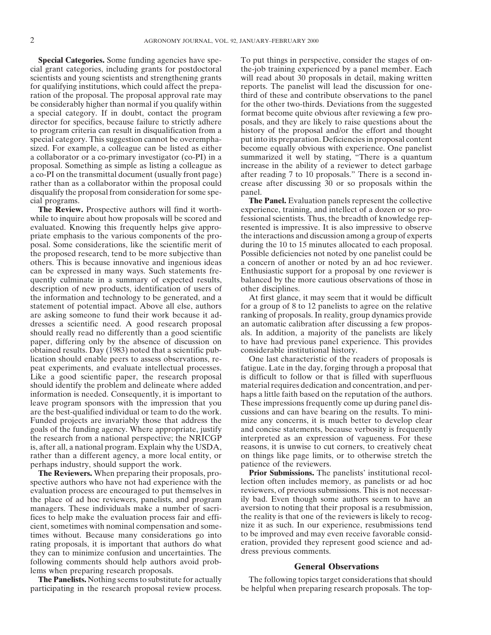cial grant categories, including grants for postdoctoral the-job training experienced by a panel member. Each scientists and young scientists and strengthening grants will read about 30 proposals in detail, making written for qualifying institutions, which could affect the prepa- reports. The panelist will lead the discussion for oneration of the proposal. The proposal approval rate may third of these and contribute observations to the panel be considerably higher than normal if you qualify within for the other two-thirds. Deviations from the suggested a special category. If in doubt, contact the program format become quite obvious after reviewing a few prodirector for specifics, because failure to strictly adhere posals, and they are likely to raise questions about the to program criteria can result in disqualification from a history of the proposal and/or the effort and thought special category. This suggestion cannot be overempha- put into its preparation. Deficiencies in proposal content sized. For example, a colleague can be listed as either become equally obvious with experience. One panelist a collaborator or a co-primary investigator (co-PI) in a summarized it well by stating, "There is a quantum proposal. Something as simple as listing a colleague as increase in the ability of a reviewer to detect garbage a co-PI on the transmittal document (usually front page) after reading 7 to 10 proposals." There is a second inrather than as a collaborator within the proposal could crease after discussing 30 or so proposals within the disqualify the proposal from consideration for some spe- panel. cial programs. **The Panel.** Evaluation panels represent the collective

while to inquire about how proposals will be scored and fessional scientists. Thus, the breadth of knowledge repevaluated. Knowing this frequently helps give appro- resented is impressive. It is also impressive to observe priate emphasis to the various components of the pro- the interactions and discussion among a group of experts posal. Some considerations, like the scientific merit of during the 10 to 15 minutes allocated to each proposal. the proposed research, tend to be more subjective than Possible deficiencies not noted by one panelist could be others. This is because innovative and ingenious ideas a concern of another or noted by an ad hoc reviewer. can be expressed in many ways. Such statements fre- Enthusiastic support for a proposal by one reviewer is quently culminate in a summary of expected results, balanced by the more cautious observations of those in description of new products, identification of users of other disciplines. the information and technology to be generated, and a At first glance, it may seem that it would be difficult statement of potential impact. Above all else, authors for a group of 8 to 12 panelists to agree on the relative are asking someone to fund their work because it ad- ranking of proposals. In reality, group dynamics provide dresses a scientific need. A good research proposal an automatic calibration after discussing a few proposshould really read no differently than a good scientific als. In addition, a majority of the panelists are likely paper, differing only by the absence of discussion on to have had previous panel experience. This provides obtained results. Day (1983) noted that a scientific pub- considerable institutional history. lication should enable peers to assess observations, re- One last characteristic of the readers of proposals is peat experiments, and evaluate intellectual processes. fatigue. Late in the day, forging through a proposal that Like a good scientific paper, the research proposal is difficult to follow or that is filled with superfluous should identify the problem and delineate where added material requires dedication and concentration, and perinformation is needed. Consequently, it is important to haps a little faith based on the reputation of the authors. leave program sponsors with the impression that you These impressions frequently come up during panel disare the best-qualified individual or team to do the work. cussions and can have bearing on the results. To mini-Funded projects are invariably those that address the mize any concerns, it is much better to develop clear goals of the funding agency. Where appropriate, justify and concise statements, because verbosity is frequently the research from a national perspective; the NRICGP interpreted as an expression of vagueness. For these is, after all, a national program. Explain why the USDA, reasons, it is unwise to cut corners, to creatively cheat rather than a different agency, a more local entity, or on things like page limits, or to otherwise stretch the perhaps industry, should support the work. patience of the reviewers.

spective authors who have not had experience with the lection often includes memory, as panelists or ad hoc evaluation process are encouraged to put themselves in reviewers, of previous submissions. This is not necessar-<br>the place of ad hoc reviewers, panelists, and program ily bad. Even though some authors seem to have an the place of ad hoc reviewers, panelists, and program ily bad. Even though some authors seem to have an managers. These individuals make a number of sacri-<br>aversion to noting that their proposal is a resubmission, managers. These individuals make a number of sacri-<br>fices to help make the evaluation process fair and effi-<br>the reality is that one of the reviewers is likely to recogfices to help make the evaluation process fair and efficient, sometimes with nominal compensation and some- nize it as such. In our experience, resubmissions tend times without. Because many considerations go into to be improved and may even receive favorable considrating proposals, it is important that authors do what eration, provided they represent good science and ad-<br>they can to minimize confusion and uncertainties. The dress previous comments. they can to minimize confusion and uncertainties. The following comments should help authors avoid prob-<br> **General Observations** lems when preparing research proposals.

**Special Categories.** Some funding agencies have spe-<br>To put things in perspective, consider the stages of on-

**The Review.** Prospective authors will find it worth- experience, training, and intellect of a dozen or so pro-

**The Reviewers.** When preparing their proposals, pro- **Prior Submissions.** The panelists' institutional recol-

**The Panelists.** Nothing seems to substitute for actually The following topics target considerations that should participating in the research proposal review process. be helpful when preparing research proposals. The top-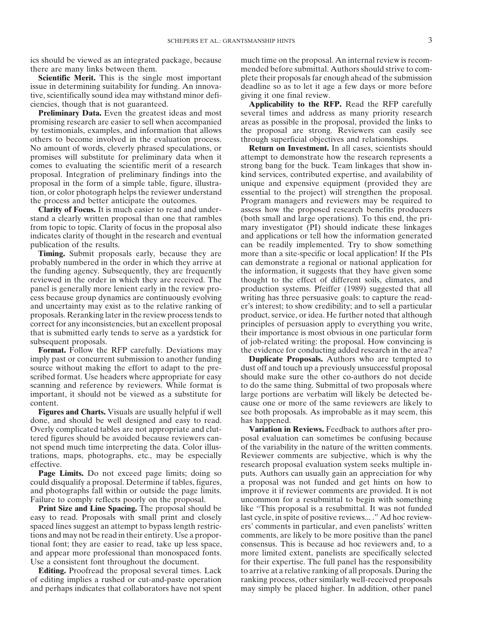tive, scientifically sound idea may withstand minor defi- giving it one final review. ciencies, though that is not guaranteed. **Applicability to the RFP.** Read the RFP carefully

promising research are easier to sell when accompanied areas as possible in the proposal, provided the links to by testimonials, examples, and information that allows the proposal are strong. Reviewers can easily see others to become involved in the evaluation process. through superficial objectives and relationships. No amount of words, cleverly phrased speculations, or **Return on Investment.** In all cases, scientists should promises will substitute for preliminary data when it attempt to demonstrate how the research represents a comes to evaluating the scientific merit of a research strong bang for the buck. Team linkages that show inproposal. Integration of preliminary findings into the kind services, contributed expertise, and availability of proposal in the form of a simple table, figure, illustra- unique and expensive equipment (provided they are tion, or color photograph helps the reviewer understand essential to the project) will strengthen the proposal. the process and better anticipate the outcomes. Program managers and reviewers may be required to

stand a clearly written proposal than one that rambles (both small and large operations). To this end, the prifrom topic to topic. Clarity of focus in the proposal also mary investigator (PI) should indicate these linkages indicates clarity of thought in the research and eventual and applications or tell how the information generated publication of the results. can be readily implemented. Try to show something

imply past or concurrent submission to another funding **Duplicate Proposals.** Authors who are tempted to source without making the effort to adapt to the pre- dust off and touch up a previously unsuccessful proposal scribed format. Use headers where appropriate for easy should make sure the other co-authors do not decide scanning and reference by reviewers. While format is to do the same thing. Submittal of two proposals where important, it should not be viewed as a substitute for large portions are verbatim will likely be detected becontent. cause one or more of the same reviewers are likely to

done, and should be well designed and easy to read. has happened. Overly complicated tables are not appropriate and clut- **Variation in Reviews.** Feedback to authors after protered figures should be avoided because reviewers can- posal evaluation can sometimes be confusing because not spend much time interpreting the data. Color illus- of the variability in the nature of the written comments. trations, maps, photographs, etc., may be especially Reviewer comments are subjective, which is why the effective. The research proposal evaluation system seeks multiple in-

could disqualify a proposal. Determine if tables, figures, a proposal was not funded and get hints on how to and photographs fall within or outside the page limits. improve it if reviewer comments are provided. It is not Failure to comply reflects poorly on the proposal. The uncommon for a resubmittal to begin with something

easy to read. Proposals with small print and closely last cycle, in spite of positive reviews.... " Ad hoc reviewspaced lines suggest an attempt to bypass length restric- ers' comments in particular, and even panelists' written tions and may not be read in their entirety. Use a propor- comments, are likely to be more positive than the panel tional font; they are easier to read, take up less space, consensus. This is because ad hoc reviewers and, to a and appear more professional than monospaced fonts. more limited extent, panelists are specifically selected Use a consistent font throughout the document. for their expertise. The full panel has the responsibility

of editing implies a rushed or cut-and-paste operation ranking process, other similarly well-received proposals and perhaps indicates that collaborators have not spent may simply be placed higher. In addition, other panel

ics should be viewed as an integrated package, because much time on the proposal. An internal review is recomthere are many links between them. mended before submittal. Authors should strive to com-**Scientific Merit.** This is the single most important plete their proposals far enough ahead of the submission issue in determining suitability for funding. An innova- deadline so as to let it age a few days or more before

**Preliminary Data.** Even the greatest ideas and most several times and address as many priority research

**Clarity of Focus.** It is much easier to read and under- assess how the proposed research benefits producers **Timing.** Submit proposals early, because they are more than a site-specific or local application! If the PIs probably numbered in the order in which they arrive at can demonstrate a regional or national application for the funding agency. Subsequently, they are frequently the information, it suggests that they have given some reviewed in the order in which they are received. The thought to the effect of different soils, climates, and panel is generally more lenient early in the review pro- production systems. Pfeiffer (1989) suggested that all cess because group dynamics are continuously evolving writing has three persuasive goals: to capture the readand uncertainty may exist as to the relative ranking of er's interest; to show credibility; and to sell a particular proposals. Reranking later in the review process tends to product, service, or idea. He further noted that although correct for any inconsistencies, but an excellent proposal principles of persuasion apply to everything you write, that is submitted early tends to serve as a yardstick for their importance is most obvious in one particular form subsequent proposals.  $\bullet$  of job-related writing: the proposal. How convincing is **Format.** Follow the RFP carefully. Deviations may the evidence for conducting added research in the area?

**Figures and Charts.** Visuals are usually helpful if well see both proposals. As improbable as it may seem, this

**Page Limits.** Do not exceed page limits; doing so puts. Authors can usually gain an appreciation for why **Print Size and Line Spacing.** The proposal should be like "This proposal is a resubmittal. It was not funded **Editing.** Proofread the proposal several times. Lack to arrive at a relative ranking of all proposals. During the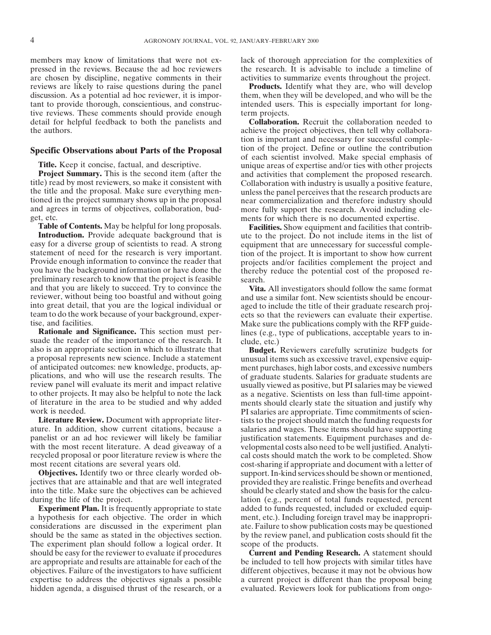pressed in the reviews. Because the ad hoc reviewers the research. It is advisable to include a timeline of are chosen by discipline, negative comments in their activities to summarize events throughout the project. reviews are likely to raise questions during the panel **Products.** Identify what they are, who will develop discussion. As a potential ad hoc reviewer, it is impor- them, when they will be developed, and who will be the tant to provide thorough, conscientious, and construc- intended users. This is especially important for longtive reviews. These comments should provide enough term projects.

**Project Summary.** This is the second item (after the and activities that complement the proposed research.<br>title) read by most reviewers, so make it consistent with Collaboration with industry is usually a positive featur the title and the proposal. Make sure everything men-<br>tioned in the project summary shows up in the proposal near commercialization and therefore industry should and agrees in terms of objectives, collaboration, bud- more fully support the research. Avoid including ele-

**Table of Contents.** May be helpful for long proposals. **Facilities.** Show equipment and facilities that contrib-<br>**Introduction.** Provide adequate background that is the project. Do not include items in the list of easy for a diverse group of scientists to read. A strong equipment that are unnecessary for successful complestatement of need for the research is very important. It is important to show how current statement of need for the research is very important. tion of the project. It is important to show how current<br>Provide enough information to convince the reader that projects and/or facilities complement the project and Provide enough information to convince the reader that projects and/or facilities complement the project and you have the background information or have done the thereby reduce the potential cost of the proposed repreliminary research to know that the project is feasible search. and that you are likely to succeed. Try to convince the **Vita.** All investigators should follow the same format reviewer, without being too boastful and without going and use a similar font. New scientists should be encour into great detail, that you are the logical individual or aged to include the title of their graduate research projteam to do the work because of your background, exper- ects so that the reviewers can evaluate their expertise.

suade the reader of the importance of the research. It clude, etc.) also is an appropriate section in which to illustrate that **Budget**. a proposal represents new science. Include a statement unusual items such as excessive travel, expensive equipof anticipated outcomes: new knowledge, products, ap-<br>plications, and who will use the research results. The of graduate students. Salaries for graduate students are plications, and who will use the research results. The of graduate students. Salaries for graduate students are review panel will evaluate its merit and impact relative usually viewed as positive, but PI salaries may be vi review panel will evaluate its merit and impact relative usually viewed as positive, but PI salaries may be viewed<br>to other projects. It may also be helpful to note the lack as a negative. Scientists on less than full-time to other projects. It may also be helpful to note the lack as a negative. Scientists on less than full-time appoint-<br>of literature in the area to be studied and why added ments should clearly state the situation and justif of literature in the area to be studied and why added ments should clearly state the situation and justify why<br>Ments are appropriate Time commitments of scien-

**Literature Review.** Document with appropriate liter-<br>ature. In addition, show current citations, because a salaries and wages. These items should have supporting panelist or an ad hoc reviewer will likely be familiar justification statements. Equipment purchases and de-<br>with the most recent literature. A dead giveaway of a velopmental costs also need to be well justified. Analytiwith the most recent literature. A dead giveaway of a velopmental costs also need to be well justified. Analyti-<br>recycled proposal or poor literature review is where the cal costs should match the work to be completed. Sho

a hypothesis for each objective. The order in which ment, etc.). Including foreign travel may be inappropriconsiderations are discussed in the experiment plan ate. Failure to show publication costs may be questioned should be the same as stated in the objectives section. by the review panel, and publication costs should fit the The experiment plan should follow a logical order. It scope of the products. should be easy for the reviewer to evaluate if procedures **Current and Pending Research.** A statement should are appropriate and results are attainable for each of the be included to tell how projects with similar titles have objectives. Failure of the investigators to have sufficient different objectives, because it may not be obvious how expertise to address the objectives signals a possible a current project is different than the proposal being hidden agenda, a disguised thrust of the research, or a evaluated. Reviewers look for publications from ongo-

members may know of limitations that were not ex-<br>lack of thorough appreciation for the complexities of

detail for helpful feedback to both the panelists and **Collaboration.** Recruit the collaboration needed to the authors. The authors achieve the project objectives, then tell why collaboration is important and necessary for successful comple-**Specific Observations about Parts of the Proposal** is the project. Define or outline the contribution of each scientist involved. Make special emphasis of **Title.** Keep it concise, factual, and descriptive. **Title.** Keep it concise, factual, and descriptive. unique areas of expertise and/or ties with other projects **Project** Summary. This is the second item (after the and activities that complement the proposed research. near commercialization and therefore industry should get, etc.<br> **Table of Contents.** May be helpful for long proposals.<br> **Table of Contents.** May be helpful for long proposals.<br> **Facilities.** Show equipment and facilities that contracts

**Interate a** to the project. Do not include items in the list of thereby reduce the potential cost of the proposed re-

and use a similar font. New scientists should be encourtise, and facilities.<br> **Rationale and Significance.** This section must per-<br>
lines (e.g., type of publications, acceptable years to inlines (e.g., type of publications, acceptable years to in-

**Budget.** Reviewers carefully scrutinize budgets for ork is needed.<br> **Example 19 EXEC EXEC EXECUTE:** PI salaries are appropriate. Time commitments of scien-<br>
Literature Review. Document with appropriate liter-<br>
tists to the project should match the funding requests for salaries and wages. These items should have supporting. recycled proposal or poor literature review is where the cal costs should match the work to be completed. Show<br>cost-sharing if appropriate and document with a letter of cost-sharing if appropriate and document with a letter of **Objectives.** Identify two or three clearly worded ob- support. In-kind services should be shown or mentioned, jectives that are attainable and that are well integrated provided they are realistic. Fringe benefits and overhead into the title. Make sure the objectives can be achieved should be clearly stated and show the basis for the calcuduring the life of the project. lation (e.g., percent of total funds requested, percent **Experiment Plan.** It is frequently appropriate to state added to funds requested, included or excluded equip-